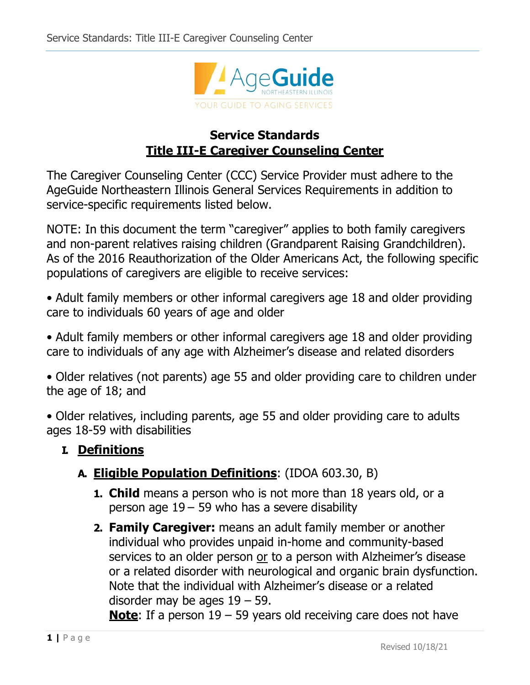

# **Service Standards Title III-E Caregiver Counseling Center**

The Caregiver Counseling Center (CCC) Service Provider must adhere to the AgeGuide Northeastern Illinois General Services Requirements in addition to service-specific requirements listed below.

NOTE: In this document the term "caregiver" applies to both family caregivers and non-parent relatives raising children (Grandparent Raising Grandchildren). As of the 2016 Reauthorization of the Older Americans Act, the following specific populations of caregivers are eligible to receive services:

• Adult family members or other informal caregivers age 18 and older providing care to individuals 60 years of age and older

• Adult family members or other informal caregivers age 18 and older providing care to individuals of any age with Alzheimer's disease and related disorders

• Older relatives (not parents) age 55 and older providing care to children under the age of 18; and

• Older relatives, including parents, age 55 and older providing care to adults ages 18-59 with disabilities

## **I. Definitions**

## **A. Eligible Population Definitions**: (IDOA 603.30, B)

- **1. Child** means a person who is not more than 18 years old, or a person age 19 – 59 who has a severe disability
- **2. Family Caregiver:** means an adult family member or another individual who provides unpaid in-home and community-based services to an older person or to a person with Alzheimer's disease or a related disorder with neurological and organic brain dysfunction. Note that the individual with Alzheimer's disease or a related disorder may be ages  $19 - 59$ .

**Note**: If a person 19 – 59 years old receiving care does not have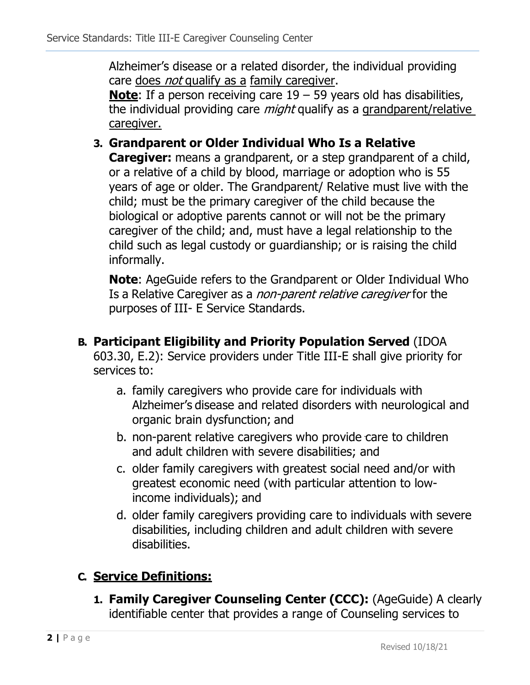Alzheimer's disease or a related disorder, the individual providing care does *not* qualify as a family caregiver.

**Note**: If a person receiving care 19 – 59 years old has disabilities, the individual providing care *might* qualify as a grandparent/relative caregiver.

## **3. Grandparent or Older Individual Who Is a Relative**

**Caregiver:** means a grandparent, or a step grandparent of a child, or a relative of a child by blood, marriage or adoption who is 55 years of age or older. The Grandparent/ Relative must live with the child; must be the primary caregiver of the child because the biological or adoptive parents cannot or will not be the primary caregiver of the child; and, must have a legal relationship to the child such as legal custody or guardianship; or is raising the child informally.

**Note**: AgeGuide refers to the Grandparent or Older Individual Who Is a Relative Caregiver as a non-parent relative caregiver for the purposes of III- E Service Standards.

- **B. Participant Eligibility and Priority Population Served** (IDOA 603.30, E.2): Service providers under Title III-E shall give priority for services to:
	- a. family caregivers who provide care for individuals with Alzheimer's disease and related disorders with neurological and organic brain dysfunction; and
	- b. non-parent relative caregivers who provide care to children and adult children with severe disabilities; and
	- c. older family caregivers with greatest social need and/or with greatest economic need (with particular attention to lowincome individuals); and
	- d. older family caregivers providing care to individuals with severe disabilities, including children and adult children with severe disabilities.

# **C. Service Definitions:**

**1. Family Caregiver Counseling Center (CCC):** (AgeGuide) A clearly identifiable center that provides a range of Counseling services to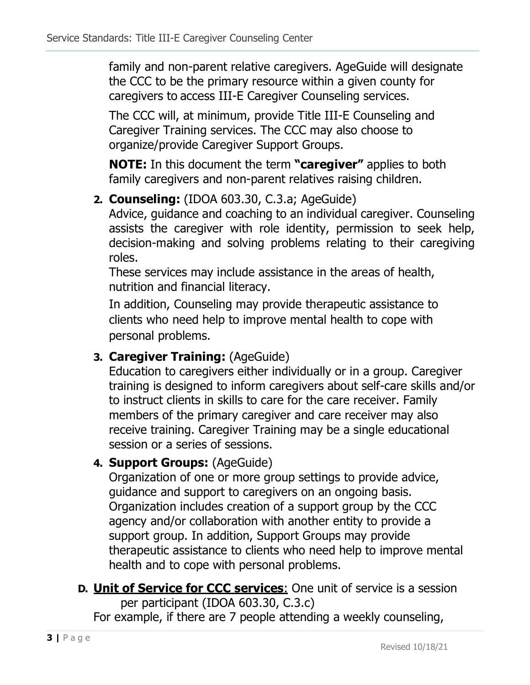family and non-parent relative caregivers. AgeGuide will designate the CCC to be the primary resource within a given county for caregivers to access III-E Caregiver Counseling services.

The CCC will, at minimum, provide Title III-E Counseling and Caregiver Training services. The CCC may also choose to organize/provide Caregiver Support Groups.

**NOTE:** In this document the term **"caregiver"** applies to both family caregivers and non-parent relatives raising children.

## **2. Counseling:** (IDOA 603.30, C.3.a; AgeGuide)

Advice, guidance and coaching to an individual caregiver. Counseling assists the caregiver with role identity, permission to seek help, decision-making and solving problems relating to their caregiving roles.

These services may include assistance in the areas of health, nutrition and financial literacy.

In addition, Counseling may provide therapeutic assistance to clients who need help to improve mental health to cope with personal problems.

#### **3. Caregiver Training:** (AgeGuide)

Education to caregivers either individually or in a group. Caregiver training is designed to inform caregivers about self-care skills and/or to instruct clients in skills to care for the care receiver. Family members of the primary caregiver and care receiver may also receive training. Caregiver Training may be a single educational session or a series of sessions.

## **4. Support Groups:** (AgeGuide)

Organization of one or more group settings to provide advice, guidance and support to caregivers on an ongoing basis. Organization includes creation of a support group by the CCC agency and/or collaboration with another entity to provide a support group. In addition, Support Groups may provide therapeutic assistance to clients who need help to improve mental health and to cope with personal problems.

**D. Unit of Service for CCC services**: One unit of service is a session per participant (IDOA 603.30, C.3.c)

For example, if there are 7 people attending a weekly counseling,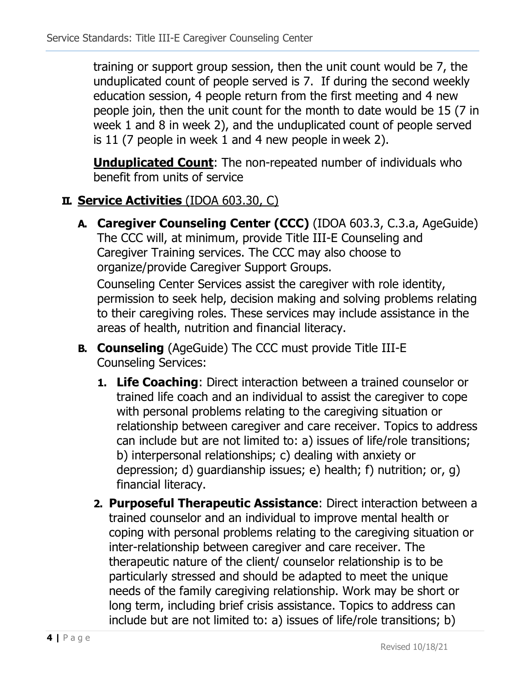training or support group session, then the unit count would be 7, the unduplicated count of people served is 7. If during the second weekly education session, 4 people return from the first meeting and 4 new people join, then the unit count for the month to date would be 15 (7 in week 1 and 8 in week 2), and the unduplicated count of people served is 11 (7 people in week 1 and 4 new people in week 2).

**Unduplicated Count**: The non-repeated number of individuals who benefit from units of service

## **II. Service Activities** (IDOA 603.30, C)

**A. Caregiver Counseling Center (CCC)** (IDOA 603.3, C.3.a, AgeGuide) The CCC will, at minimum, provide Title III-E Counseling and Caregiver Training services. The CCC may also choose to organize/provide Caregiver Support Groups.

Counseling Center Services assist the caregiver with role identity, permission to seek help, decision making and solving problems relating to their caregiving roles. These services may include assistance in the areas of health, nutrition and financial literacy.

- **B. Counseling** (AgeGuide) The CCC must provide Title III-E Counseling Services:
	- **1. Life Coaching**: Direct interaction between a trained counselor or trained life coach and an individual to assist the caregiver to cope with personal problems relating to the caregiving situation or relationship between caregiver and care receiver. Topics to address can include but are not limited to: a) issues of life/role transitions; b) interpersonal relationships; c) dealing with anxiety or depression; d) guardianship issues; e) health; f) nutrition; or, g) financial literacy.
	- **2. Purposeful Therapeutic Assistance**: Direct interaction between a trained counselor and an individual to improve mental health or coping with personal problems relating to the caregiving situation or inter-relationship between caregiver and care receiver. The therapeutic nature of the client/ counselor relationship is to be particularly stressed and should be adapted to meet the unique needs of the family caregiving relationship. Work may be short or long term, including brief crisis assistance. Topics to address can include but are not limited to: a) issues of life/role transitions; b)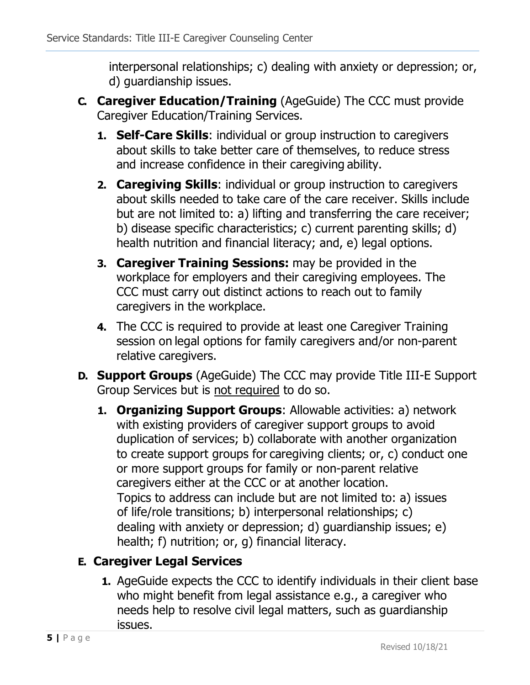interpersonal relationships; c) dealing with anxiety or depression; or, d) guardianship issues.

- **C. Caregiver Education/Training** (AgeGuide) The CCC must provide Caregiver Education/Training Services.
	- **1. Self-Care Skills**: individual or group instruction to caregivers about skills to take better care of themselves, to reduce stress and increase confidence in their caregiving ability.
	- **2. Caregiving Skills**: individual or group instruction to caregivers about skills needed to take care of the care receiver. Skills include but are not limited to: a) lifting and transferring the care receiver; b) disease specific characteristics; c) current parenting skills; d) health nutrition and financial literacy; and, e) legal options.
	- **3. Caregiver Training Sessions:** may be provided in the workplace for employers and their caregiving employees. The CCC must carry out distinct actions to reach out to family caregivers in the workplace.
	- **4.** The CCC is required to provide at least one Caregiver Training session on legal options for family caregivers and/or non-parent relative caregivers.
- **D. Support Groups** (AgeGuide) The CCC may provide Title III-E Support Group Services but is not required to do so.
	- **1. Organizing Support Groups**: Allowable activities: a) network with existing providers of caregiver support groups to avoid duplication of services; b) collaborate with another organization to create support groups for caregiving clients; or, c) conduct one or more support groups for family or non-parent relative caregivers either at the CCC or at another location. Topics to address can include but are not limited to: a) issues of life/role transitions; b) interpersonal relationships; c) dealing with anxiety or depression; d) guardianship issues; e) health; f) nutrition; or, g) financial literacy.

# **E. Caregiver Legal Services**

**1.** AgeGuide expects the CCC to identify individuals in their client base who might benefit from legal assistance e.g., a caregiver who needs help to resolve civil legal matters, such as guardianship issues.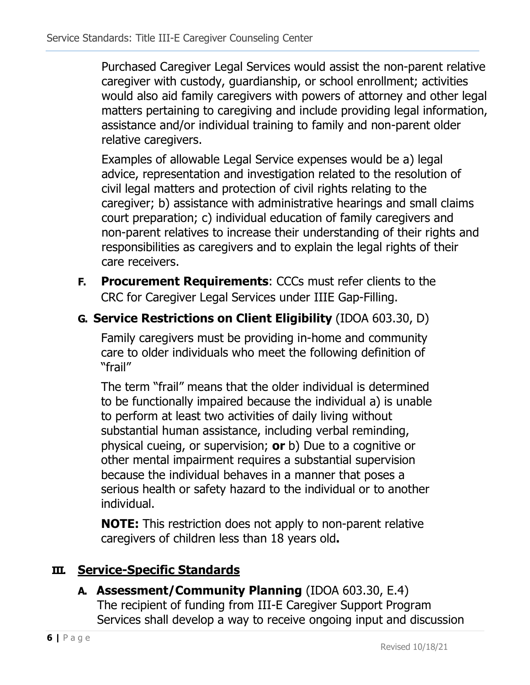Purchased Caregiver Legal Services would assist the non-parent relative caregiver with custody, guardianship, or school enrollment; activities would also aid family caregivers with powers of attorney and other legal matters pertaining to caregiving and include providing legal information, assistance and/or individual training to family and non-parent older relative caregivers.

Examples of allowable Legal Service expenses would be a) legal advice, representation and investigation related to the resolution of civil legal matters and protection of civil rights relating to the caregiver; b) assistance with administrative hearings and small claims court preparation; c) individual education of family caregivers and non-parent relatives to increase their understanding of their rights and responsibilities as caregivers and to explain the legal rights of their care receivers.

- **F. Procurement Requirements**: CCCs must refer clients to the CRC for Caregiver Legal Services under IIIE Gap-Filling.
- **G. Service Restrictions on Client Eligibility** (IDOA 603.30, D)

Family caregivers must be providing in-home and community care to older individuals who meet the following definition of "frail"

The term "frail" means that the older individual is determined to be functionally impaired because the individual a) is unable to perform at least two activities of daily living without substantial human assistance, including verbal reminding, physical cueing, or supervision; **or** b) Due to a cognitive or other mental impairment requires a substantial supervision because the individual behaves in a manner that poses a serious health or safety hazard to the individual or to another individual.

**NOTE:** This restriction does not apply to non-parent relative caregivers of children less than 18 years old**.**

## **III. Service-Specific Standards**

**A. Assessment/Community Planning** (IDOA 603.30, E.4) The recipient of funding from III-E Caregiver Support Program Services shall develop a way to receive ongoing input and discussion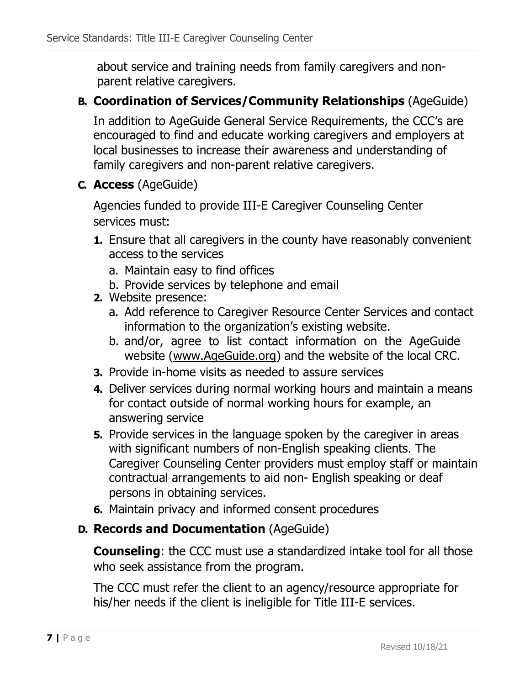about service and training needs from family caregivers and nonparent relative caregivers.

### **B. Coordination of Services/Community Relationships** (AgeGuide)

In addition to AgeGuide General Service Requirements, the CCC's are encouraged to find and educate working caregivers and employers at local businesses to increase their awareness and understanding of family caregivers and non-parent relative caregivers.

**C. Access** (AgeGuide)

Agencies funded to provide III-E Caregiver Counseling Center services must:

- **1.** Ensure that all caregivers in the county have reasonably convenient access to the services
	- a. Maintain easy to find offices
	- b. Provide services by telephone and email
- **2.** Website presence:
	- a. Add reference to Caregiver Resource Center Services and contact information to the organization's existing website.
	- b. and/or, agree to list contact information on the AgeGuide website [\(www.AgeGuide.org\)](http://www.ageguide.org/) and the website of the local CRC.
- **3.** Provide in-home visits as needed to assure services
- **4.** Deliver services during normal working hours and maintain a means for contact outside of normal working hours for example, an answering service
- **5.** Provide services in the language spoken by the caregiver in areas with significant numbers of non-English speaking clients. The Caregiver Counseling Center providers must employ staff or maintain contractual arrangements to aid non- English speaking or deaf persons in obtaining services.
- **6.** Maintain privacy and informed consent procedures

## **D. Records and Documentation** (AgeGuide)

**Counseling**: the CCC must use a standardized intake tool for all those who seek assistance from the program.

The CCC must refer the client to an agency/resource appropriate for his/her needs if the client is ineligible for Title III-E services.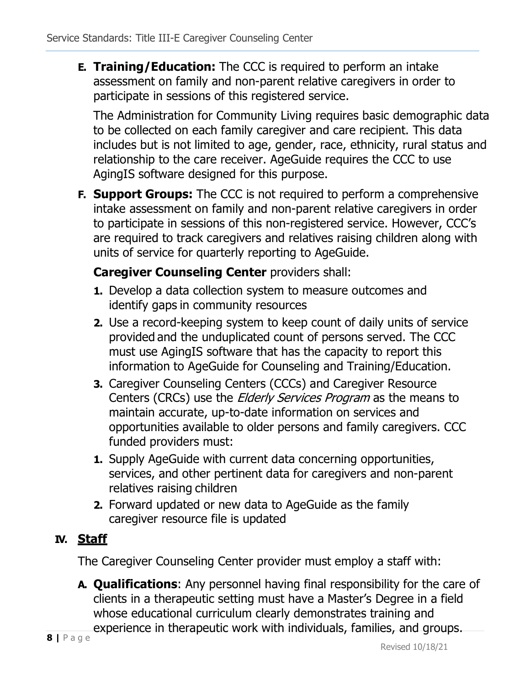**E. Training/Education:** The CCC is required to perform an intake assessment on family and non-parent relative caregivers in order to participate in sessions of this registered service.

The Administration for Community Living requires basic demographic data to be collected on each family caregiver and care recipient. This data includes but is not limited to age, gender, race, ethnicity, rural status and relationship to the care receiver. AgeGuide requires the CCC to use AgingIS software designed for this purpose.

**F. Support Groups:** The CCC is not required to perform a comprehensive intake assessment on family and non-parent relative caregivers in order to participate in sessions of this non-registered service. However, CCC's are required to track caregivers and relatives raising children along with units of service for quarterly reporting to AgeGuide.

#### **Caregiver Counseling Center** providers shall:

- **1.** Develop a data collection system to measure outcomes and identify gaps in community resources
- **2.** Use a record-keeping system to keep count of daily units of service provided and the unduplicated count of persons served. The CCC must use AgingIS software that has the capacity to report this information to AgeGuide for Counseling and Training/Education.
- **3.** Caregiver Counseling Centers (CCCs) and Caregiver Resource Centers (CRCs) use the *Elderly Services Program* as the means to maintain accurate, up-to-date information on services and opportunities available to older persons and family caregivers. CCC funded providers must:
- **1.** Supply AgeGuide with current data concerning opportunities, services, and other pertinent data for caregivers and non-parent relatives raising children
- **2.** Forward updated or new data to AgeGuide as the family caregiver resource file is updated

#### **IV. Staff**

The Caregiver Counseling Center provider must employ a staff with:

**A. Qualifications**: Any personnel having final responsibility for the care of clients in a therapeutic setting must have a Master's Degree in a field whose educational curriculum clearly demonstrates training and experience in therapeutic work with individuals, families, and groups.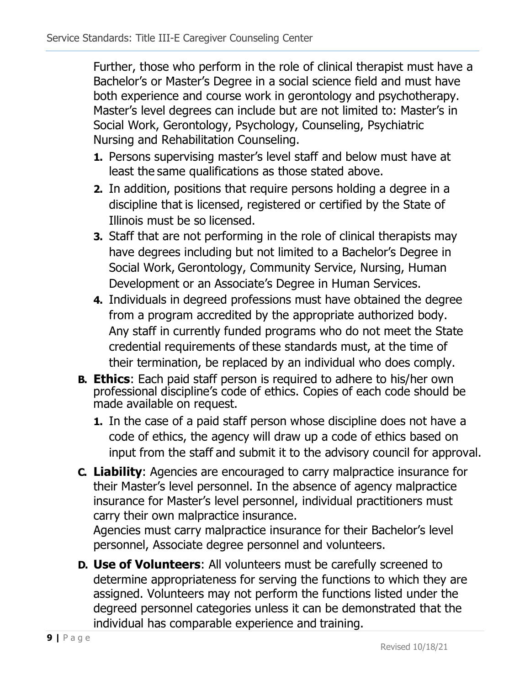Further, those who perform in the role of clinical therapist must have a Bachelor's or Master's Degree in a social science field and must have both experience and course work in gerontology and psychotherapy. Master's level degrees can include but are not limited to: Master's in Social Work, Gerontology, Psychology, Counseling, Psychiatric Nursing and Rehabilitation Counseling.

- **1.** Persons supervising master's level staff and below must have at least the same qualifications as those stated above.
- **2.** In addition, positions that require persons holding a degree in a discipline that is licensed, registered or certified by the State of Illinois must be so licensed.
- **3.** Staff that are not performing in the role of clinical therapists may have degrees including but not limited to a Bachelor's Degree in Social Work, Gerontology, Community Service, Nursing, Human Development or an Associate's Degree in Human Services.
- **4.** Individuals in degreed professions must have obtained the degree from a program accredited by the appropriate authorized body. Any staff in currently funded programs who do not meet the State credential requirements of these standards must, at the time of their termination, be replaced by an individual who does comply.
- **B. Ethics**: Each paid staff person is required to adhere to his/her own professional discipline's code of ethics. Copies of each code should be made available on request.
	- **1.** In the case of a paid staff person whose discipline does not have a code of ethics, the agency will draw up a code of ethics based on input from the staff and submit it to the advisory council for approval.
- **C. Liability**: Agencies are encouraged to carry malpractice insurance for their Master's level personnel. In the absence of agency malpractice insurance for Master's level personnel, individual practitioners must carry their own malpractice insurance.

Agencies must carry malpractice insurance for their Bachelor's level personnel, Associate degree personnel and volunteers.

**D. Use of Volunteers**: All volunteers must be carefully screened to determine appropriateness for serving the functions to which they are assigned. Volunteers may not perform the functions listed under the degreed personnel categories unless it can be demonstrated that the individual has comparable experience and training.